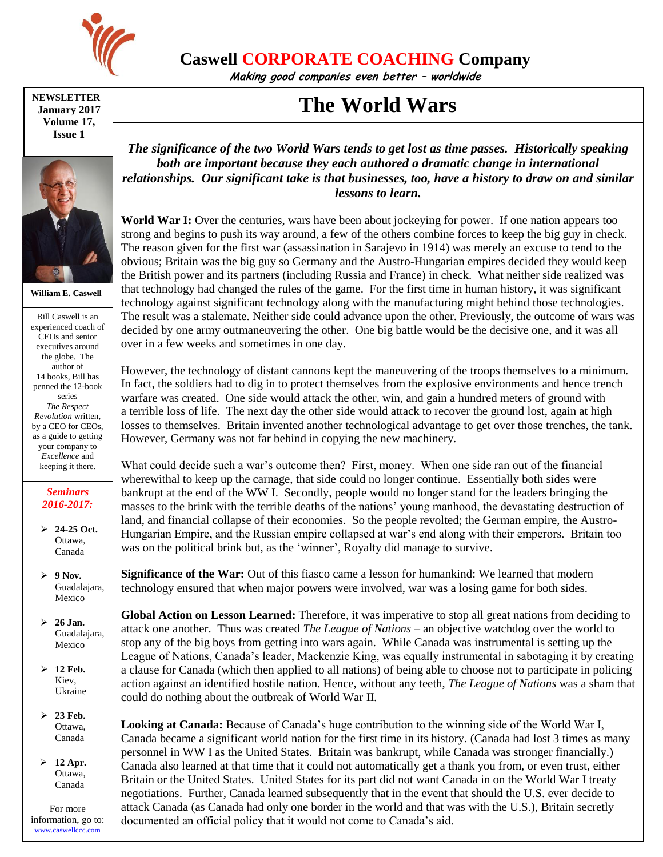

**Caswell CORPORATE COACHING Company**

**Making good companies even better – worldwide**

## **The World Wars**

**NEWSLETTER January 2017 Volume 17, Issue 1**



**William E. Caswell**

Bill Caswell is an experienced coach of CEOs and senior executives around the globe. The author of 14 books, Bill has penned the 12-book series *The Respect Revolution* written, by a CEO for CEOs, as a guide to getting your company to *Excellence* and keeping it there.

## *Seminars 2016-2017:*

- **24-25 Oct.** Ottawa, Canada
- **9 Nov.** Guadalajara, Mexico
- **26 Jan.** Guadalajara, Mexico
- **12 Feb.** Kiev, Ukraine
- **23 Feb.** Ottawa, Canada
- **12 Apr.** Ottawa, Canada

For more information, go to: [www.caswellccc.com](http://www.caswellccc.com/)

*The significance of the two World Wars tends to get lost as time passes. Historically speaking both are important because they each authored a dramatic change in international relationships. Our significant take is that businesses, too, have a history to draw on and similar lessons to learn.*

**World War I:** Over the centuries, wars have been about jockeying for power. If one nation appears too strong and begins to push its way around, a few of the others combine forces to keep the big guy in check. The reason given for the first war (assassination in Sarajevo in 1914) was merely an excuse to tend to the obvious; Britain was the big guy so Germany and the Austro-Hungarian empires decided they would keep the British power and its partners (including Russia and France) in check. What neither side realized was that technology had changed the rules of the game. For the first time in human history, it was significant technology against significant technology along with the manufacturing might behind those technologies. The result was a stalemate. Neither side could advance upon the other. Previously, the outcome of wars was decided by one army outmaneuvering the other. One big battle would be the decisive one, and it was all over in a few weeks and sometimes in one day.

However, the technology of distant cannons kept the maneuvering of the troops themselves to a minimum. In fact, the soldiers had to dig in to protect themselves from the explosive environments and hence trench warfare was created. One side would attack the other, win, and gain a hundred meters of ground with a terrible loss of life. The next day the other side would attack to recover the ground lost, again at high losses to themselves. Britain invented another technological advantage to get over those trenches, the tank. However, Germany was not far behind in copying the new machinery.

What could decide such a war's outcome then? First, money. When one side ran out of the financial wherewithal to keep up the carnage, that side could no longer continue. Essentially both sides were bankrupt at the end of the WW I. Secondly, people would no longer stand for the leaders bringing the masses to the brink with the terrible deaths of the nations' young manhood, the devastating destruction of land, and financial collapse of their economies. So the people revolted; the German empire, the Austro-Hungarian Empire, and the Russian empire collapsed at war's end along with their emperors. Britain too was on the political brink but, as the 'winner', Royalty did manage to survive.

**Significance of the War:** Out of this fiasco came a lesson for humankind: We learned that modern technology ensured that when major powers were involved, war was a losing game for both sides.

**Global Action on Lesson Learned:** Therefore, it was imperative to stop all great nations from deciding to attack one another. Thus was created *The League of Nations* – an objective watchdog over the world to stop any of the big boys from getting into wars again. While Canada was instrumental is setting up the League of Nations, Canada's leader, Mackenzie King, was equally instrumental in sabotaging it by creating a clause for Canada (which then applied to all nations) of being able to choose not to participate in policing action against an identified hostile nation. Hence, without any teeth, *The League of Nations* was a sham that could do nothing about the outbreak of World War II.

**Looking at Canada:** Because of Canada's huge contribution to the winning side of the World War I, Canada became a significant world nation for the first time in its history. (Canada had lost 3 times as many personnel in WW I as the United States. Britain was bankrupt, while Canada was stronger financially.) Canada also learned at that time that it could not automatically get a thank you from, or even trust, either Britain or the United States. United States for its part did not want Canada in on the World War I treaty negotiations. Further, Canada learned subsequently that in the event that should the U.S. ever decide to attack Canada (as Canada had only one border in the world and that was with the U.S.), Britain secretly documented an official policy that it would not come to Canada's aid.